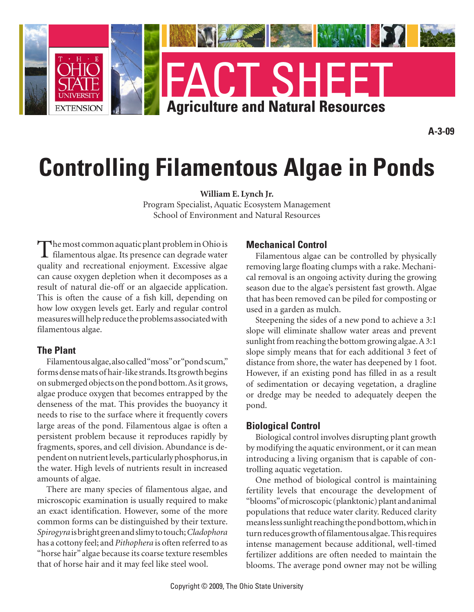

# **Controlling Filamentous Algae in Ponds**

**William E. Lynch Jr.**

Program Specialist, Aquatic Ecosystem Management School of Environment and Natural Resources

The most common aquatic plant problem in Ohio is<br>filamentous algae. Its presence can degrade water quality and recreational enjoyment. Excessive algae can cause oxygen depletion when it decomposes as a result of natural die-off or an algaecide application. This is often the cause of a fish kill, depending on how low oxygen levels get. Early and regular control measures will help reduce the problems associated with filamentous algae.

# **The Plant**

Filamentous algae, also called "moss" or "pond scum," forms dense mats of hair-like strands. Its growth begins on submerged objects on the pond bottom. As it grows, algae produce oxygen that becomes entrapped by the denseness of the mat. This provides the buoyancy it needs to rise to the surface where it frequently covers large areas of the pond. Filamentous algae is often a persistent problem because it reproduces rapidly by fragments, spores, and cell division. Abundance is dependent on nutrient levels, particularly phosphorus, in the water. High levels of nutrients result in increased amounts of algae.

There are many species of filamentous algae, and microscopic examination is usually required to make an exact identification. However, some of the more common forms can be distinguished by their texture. *Spirogyra* is bright green and slimy to touch; *Cladophora* has a cottony feel; and *Pithophera* is often referred to as "horse hair" algae because its coarse texture resembles that of horse hair and it may feel like steel wool.

# **Mechanical Control**

Filamentous algae can be controlled by physically removing large floating clumps with a rake. Mechanical removal is an ongoing activity during the growing season due to the algae's persistent fast growth. Algae that has been removed can be piled for composting or used in a garden as mulch.

Steepening the sides of a new pond to achieve a 3:1 slope will eliminate shallow water areas and prevent sunlight from reaching the bottom growing algae. A 3:1 slope simply means that for each additional 3 feet of distance from shore, the water has deepened by 1 foot. However, if an existing pond has filled in as a result of sedimentation or decaying vegetation, a dragline or dredge may be needed to adequately deepen the pond.

# **Biological Control**

Biological control involves disrupting plant growth by modifying the aquatic environment, or it can mean introducing a living organism that is capable of controlling aquatic vegetation.

One method of biological control is maintaining fertility levels that encourage the development of "blooms" of microscopic (planktonic) plant and animal populations that reduce water clarity. Reduced clarity means less sunlight reaching the pond bottom, which in turn reduces growth of filamentous algae. This requires intense management because additional, well-timed fertilizer additions are often needed to maintain the blooms. The average pond owner may not be willing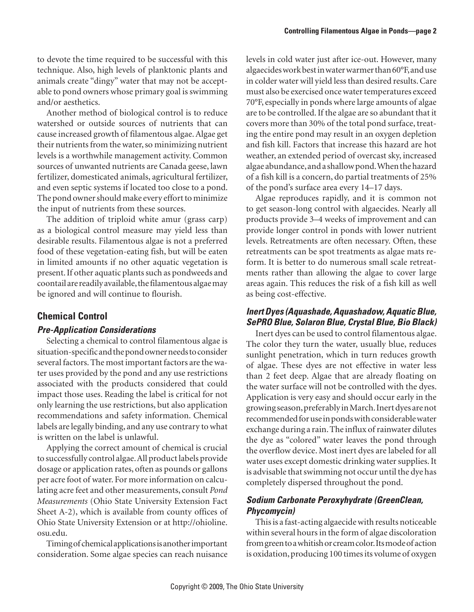to devote the time required to be successful with this technique. Also, high levels of planktonic plants and animals create "dingy" water that may not be acceptable to pond owners whose primary goal is swimming and/or aesthetics.

Another method of biological control is to reduce watershed or outside sources of nutrients that can cause increased growth of filamentous algae. Algae get their nutrients from the water, so minimizing nutrient levels is a worthwhile management activity. Common sources of unwanted nutrients are Canada geese, lawn fertilizer, domesticated animals, agricultural fertilizer, and even septic systems if located too close to a pond. The pond owner should make every effort to minimize the input of nutrients from these sources.

The addition of triploid white amur (grass carp) as a biological control measure may yield less than desirable results. Filamentous algae is not a preferred food of these vegetation-eating fish, but will be eaten in limited amounts if no other aquatic vegetation is present. If other aquatic plants such as pondweeds and coontail are readily available, the filamentous algae may be ignored and will continue to flourish.

# **Chemical Control**

#### *Pre-Application Considerations*

Selecting a chemical to control filamentous algae is situation-specific and the pond owner needs to consider several factors. The most important factors are the water uses provided by the pond and any use restrictions associated with the products considered that could impact those uses. Reading the label is critical for not only learning the use restrictions, but also application recommendations and safety information. Chemical labels are legally binding, and any use contrary to what is written on the label is unlawful.

Applying the correct amount of chemical is crucial to successfully control algae. All product labels provide dosage or application rates, often as pounds or gallons per acre foot of water. For more information on calculating acre feet and other measurements, consult *Pond Measurements* (Ohio State University Extension Fact Sheet A-2), which is available from county offices of Ohio State University Extension or at http://ohioline. osu.edu.

Timing of chemical applications is another important consideration. Some algae species can reach nuisance levels in cold water just after ice-out. However, many algaecides work best in water warmer than 60°F, and use in colder water will yield less than desired results. Care must also be exercised once water temperatures exceed 70°F, especially in ponds where large amounts of algae are to be controlled. If the algae are so abundant that it covers more than 30% of the total pond surface, treating the entire pond may result in an oxygen depletion and fish kill. Factors that increase this hazard are hot weather, an extended period of overcast sky, increased algae abundance, and a shallow pond. When the hazard of a fish kill is a concern, do partial treatments of 25% of the pond's surface area every 14–17 days.

Algae reproduces rapidly, and it is common not to get season-long control with algaecides. Nearly all products provide 3–4 weeks of improvement and can provide longer control in ponds with lower nutrient levels. Retreatments are often necessary. Often, these retreatments can be spot treatments as algae mats reform. It is better to do numerous small scale retreatments rather than allowing the algae to cover large areas again. This reduces the risk of a fish kill as well as being cost-effective.

# *Inert Dyes (Aquashade, Aquashadow, Aquatic Blue, SePRO Blue, Solaron Blue, Crystal Blue, Bio Black)*

Inert dyes can be used to control filamentous algae. The color they turn the water, usually blue, reduces sunlight penetration, which in turn reduces growth of algae. These dyes are not effective in water less than 2 feet deep. Algae that are already floating on the water surface will not be controlled with the dyes. Application is very easy and should occur early in the growing season, preferably in March. Inert dyes are not recommended for use in ponds with considerable water exchange during a rain. The influx of rainwater dilutes the dye as "colored" water leaves the pond through the overflow device. Most inert dyes are labeled for all water uses except domestic drinking water supplies. It is advisable that swimming not occur until the dye has completely dispersed throughout the pond.

# *Sodium Carbonate Peroxyhydrate (GreenClean, Phycomycin)*

This is a fast-acting algaecide with results noticeable within several hours in the form of algae discoloration from green to a whitish or cream color. Its mode of action is oxidation, producing 100 times its volume of oxygen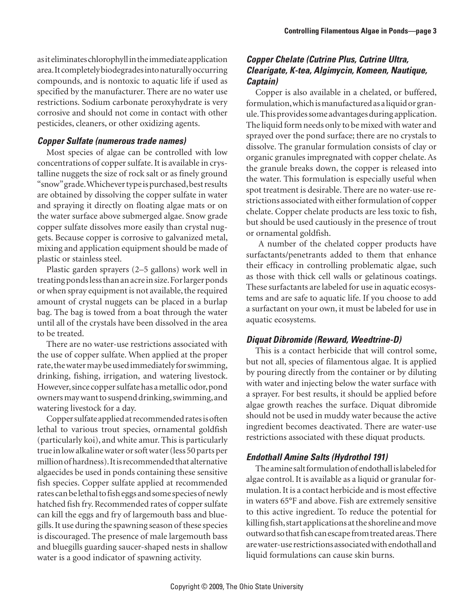as it eliminates chlorophyll in the immediate application area. It completely biodegrades into naturally occurring compounds, and is nontoxic to aquatic life if used as specified by the manufacturer. There are no water use restrictions. Sodium carbonate peroxyhydrate is very corrosive and should not come in contact with other pesticides, cleaners, or other oxidizing agents.

#### *Copper Sulfate (numerous trade names)*

Most species of algae can be controlled with low concentrations of copper sulfate. It is available in crystalline nuggets the size of rock salt or as finely ground "snow" grade. Whichever type is purchased, best results are obtained by dissolving the copper sulfate in water and spraying it directly on floating algae mats or on the water surface above submerged algae. Snow grade copper sulfate dissolves more easily than crystal nuggets. Because copper is corrosive to galvanized metal, mixing and application equipment should be made of plastic or stainless steel.

Plastic garden sprayers (2–5 gallons) work well in treating ponds less than an acre in size. For larger ponds or when spray equipment is not available, the required amount of crystal nuggets can be placed in a burlap bag. The bag is towed from a boat through the water until all of the crystals have been dissolved in the area to be treated.

There are no water-use restrictions associated with the use of copper sulfate. When applied at the proper rate, the water may be used immediately for swimming, drinking, fishing, irrigation, and watering livestock. However, since copper sulfate has a metallic odor, pond owners may want to suspend drinking, swimming, and watering livestock for a day.

Copper sulfate applied at recommended rates is often lethal to various trout species, ornamental goldfish (particularly koi), and white amur. This is particularly true in low alkaline water or soft water (less 50 parts per million of hardness). It is recommended that alternative algaecides be used in ponds containing these sensitive fish species. Copper sulfate applied at recommended rates can be lethal to fish eggs and some species of newly hatched fish fry. Recommended rates of copper sulfate can kill the eggs and fry of largemouth bass and bluegills. It use during the spawning season of these species is discouraged. The presence of male largemouth bass and bluegills guarding saucer-shaped nests in shallow water is a good indicator of spawning activity.

### *Copper Chelate (Cutrine Plus, Cutrine Ultra, Clearigate, K-tea, Algimycin, Komeen, Nautique, Captain)*

Copper is also available in a chelated, or buffered, formulation, which is manufactured as a liquid or granule. This provides some advantages during application. The liquid form needs only to be mixed with water and sprayed over the pond surface; there are no crystals to dissolve. The granular formulation consists of clay or organic granules impregnated with copper chelate. As the granule breaks down, the copper is released into the water. This formulation is especially useful when spot treatment is desirable. There are no water-use restrictions associated with either formulation of copper chelate. Copper chelate products are less toxic to fish, but should be used cautiously in the presence of trout or ornamental goldfish.

 A number of the chelated copper products have surfactants/penetrants added to them that enhance their efficacy in controlling problematic algae, such as those with thick cell walls or gelatinous coatings. These surfactants are labeled for use in aquatic ecosystems and are safe to aquatic life. If you choose to add a surfactant on your own, it must be labeled for use in aquatic ecosystems.

#### *Diquat Dibromide (Reward, Weedtrine-D)*

This is a contact herbicide that will control some, but not all, species of filamentous algae. It is applied by pouring directly from the container or by diluting with water and injecting below the water surface with a sprayer. For best results, it should be applied before algae growth reaches the surface. Diquat dibromide should not be used in muddy water because the active ingredient becomes deactivated. There are water-use restrictions associated with these diquat products.

#### *Endothall Amine Salts (Hydrothol 191)*

The amine salt formulation of endothall is labeled for algae control. It is available as a liquid or granular formulation. It is a contact herbicide and is most effective in waters 65°F and above. Fish are extremely sensitive to this active ingredient. To reduce the potential for killing fish, start applications at the shoreline and move outward so that fish can escape from treated areas. There are water-use restrictions associated with endothall and liquid formulations can cause skin burns.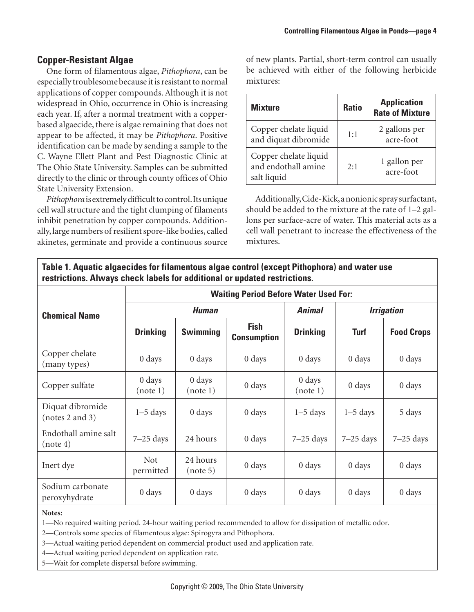# **Copper-Resistant Algae**

One form of filamentous algae, *Pithophora*, can be especially troublesome because it is resistant to normal applications of copper compounds. Although it is not widespread in Ohio, occurrence in Ohio is increasing each year. If, after a normal treatment with a copperbased algaecide, there is algae remaining that does not appear to be affected, it may be *Pithophora*. Positive identification can be made by sending a sample to the C. Wayne Ellett Plant and Pest Diagnostic Clinic at The Ohio State University. Samples can be submitted directly to the clinic or through county offices of Ohio State University Extension.

*Pithophora* is extremely difficult to control. Its unique cell wall structure and the tight clumping of filaments inhibit penetration by copper compounds. Additionally, large numbers of resilient spore-like bodies, called akinetes, germinate and provide a continuous source

of new plants. Partial, short-term control can usually be achieved with either of the following herbicide mixtures:

| <b>Mixture</b>                                              | <b>Ratio</b> | <b>Application</b><br><b>Rate of Mixture</b> |
|-------------------------------------------------------------|--------------|----------------------------------------------|
| Copper chelate liquid<br>and diquat dibromide               | 1:1          | 2 gallons per<br>acre-foot                   |
| Copper chelate liquid<br>and endothall amine<br>salt liquid | 2:1          | 1 gallon per<br>acre-foot                    |

Additionally, Cide-Kick, a nonionic spray surfactant, should be added to the mixture at the rate of 1–2 gallons per surface-acre of water. This material acts as a cell wall penetrant to increase the effectiveness of the mixtures.

**Table 1. Aquatic algaecides for filamentous algae control (except Pithophora) and water use restrictions. Always check labels for additional or updated restrictions.**

|                                     | <b>Waiting Period Before Water Used For:</b> |                                |                                   |                    |                   |                    |  |  |
|-------------------------------------|----------------------------------------------|--------------------------------|-----------------------------------|--------------------|-------------------|--------------------|--|--|
| <b>Chemical Name</b>                | <b>Human</b>                                 |                                |                                   | <b>Animal</b>      | <b>Irrigation</b> |                    |  |  |
|                                     | <b>Drinking</b>                              | <b>Swimming</b>                | <b>Fish</b><br><b>Consumption</b> | <b>Drinking</b>    | <b>Turf</b>       | <b>Food Crops</b>  |  |  |
| Copper chelate<br>(many types)      | $0 \, \text{days}$                           | 0 days                         | $0 \, \text{days}$                | $0 \, \text{days}$ | 0 days            | 0 days             |  |  |
| Copper sulfate                      | $0 \, \text{days}$<br>(note 1)               | $0 \, \text{days}$<br>(note 1) | $0 \, \text{days}$                | 0 days<br>(note 1) | 0 days            | $0 \, \text{days}$ |  |  |
| Diquat dibromide<br>(notes 2 and 3) | $1-5$ days                                   | 0 days                         | $0 \, \text{days}$                | $1-5$ days         | $1-5$ days        | 5 days             |  |  |
| Endothall amine salt<br>(note 4)    | $7-25$ days                                  | 24 hours                       | $0 \, \text{days}$                | $7-25$ days        | $7-25$ days       | $7-25$ days        |  |  |
| Inert dye                           | <b>Not</b><br>permitted                      | 24 hours<br>(note 5)           | $0 \, \text{days}$                | $0 \, \text{days}$ | 0 days            | 0 days             |  |  |
| Sodium carbonate<br>peroxyhydrate   | $0 \, \text{days}$                           | $0 \, \text{days}$             | $0 \, \text{days}$                | $0 \, \text{days}$ | 0 days            | 0 days             |  |  |

#### **Notes:**

1—No required waiting period. 24-hour waiting period recommended to allow for dissipation of metallic odor.

2—Controls some species of filamentous algae: Spirogyra and Pithophora.

3—Actual waiting period dependent on commercial product used and application rate.

4—Actual waiting period dependent on application rate.

5—Wait for complete dispersal before swimming.